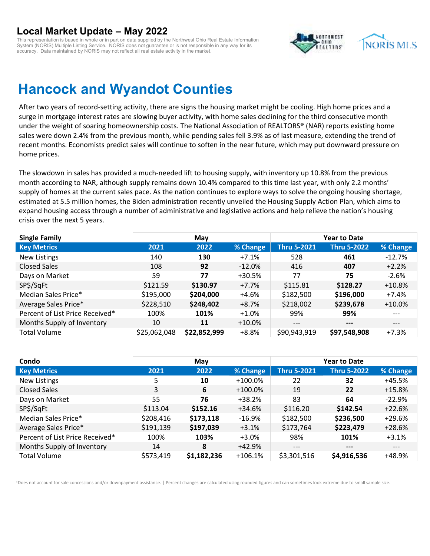This representation is based in whole or in part on data supplied by the Northwest Ohio Real Estate Information System (NORIS) Multiple Listing Service. NORIS does not guarantee or is not responsible in any way for its accuracy. Data maintained by NORIS may not reflect all real estate activity in the market.



## **Hancock and Wyandot Counties**

After two years of record-setting activity, there are signs the housing market might be cooling. High home prices and a surge in mortgage interest rates are slowing buyer activity, with home sales declining for the third consecutive month under the weight of soaring homeownership costs. The National Association of REALTORS® (NAR) reports existing home sales were down 2.4% from the previous month, while pending sales fell 3.9% as of last measure, extending the trend of recent months. Economists predict sales will continue to soften in the near future, which may put downward pressure on home prices.

The slowdown in sales has provided a much-needed lift to housing supply, with inventory up 10.8% from the previous month according to NAR, although supply remains down 10.4% compared to this time last year, with only 2.2 months' supply of homes at the current sales pace. As the nation continues to explore ways to solve the ongoing housing shortage, estimated at 5.5 million homes, the Biden administration recently unveiled the Housing Supply Action Plan, which aims to expand housing access through a number of administrative and legislative actions and help relieve the nation's housing crisis over the next 5 years.

| <b>Single Family</b>            |              | May          |           |                    | <b>Year to Date</b> |          |
|---------------------------------|--------------|--------------|-----------|--------------------|---------------------|----------|
| <b>Key Metrics</b>              | 2021         | 2022         | % Change  | <b>Thru 5-2021</b> | <b>Thru 5-2022</b>  | % Change |
| <b>New Listings</b>             | 140          | 130          | $+7.1%$   | 528                | 461                 | $-12.7%$ |
| <b>Closed Sales</b>             | 108          | 92           | $-12.0%$  | 416                | 407                 | $+2.2%$  |
| Days on Market                  | 59           | 77           | $+30.5%$  | 77                 | 75                  | $-2.6%$  |
| SP\$/SqFt                       | \$121.59     | \$130.97     | $+7.7%$   | \$115.81           | \$128.27            | $+10.8%$ |
| Median Sales Price*             | \$195,000    | \$204,000    | $+4.6%$   | \$182,500          | \$196,000           | $+7.4%$  |
| Average Sales Price*            | \$228,510    | \$248,402    | +8.7%     | \$218,002          | \$239,678           | $+10.0%$ |
| Percent of List Price Received* | 100%         | 101%         | $+1.0\%$  | 99%                | 99%                 | $---$    |
| Months Supply of Inventory      | 10           | 11           | $+10.0\%$ | $---$              | $---$               | $---$    |
| <b>Total Volume</b>             | \$25,062,048 | \$22,852,999 | $+8.8%$   | \$90,943,919       | \$97,548,908        | $+7.3%$  |

| Condo                           |           | May         |            |                    | <b>Year to Date</b> |          |
|---------------------------------|-----------|-------------|------------|--------------------|---------------------|----------|
| <b>Key Metrics</b>              | 2021      | 2022        | % Change   | <b>Thru 5-2021</b> | <b>Thru 5-2022</b>  | % Change |
| New Listings                    | 5         | 10          | $+100.0%$  | 22                 | 32                  | +45.5%   |
| <b>Closed Sales</b>             | 3         | 6           | $+100.0\%$ | 19                 | 22                  | $+15.8%$ |
| Days on Market                  | 55        | 76          | $+38.2%$   | 83                 | 64                  | $-22.9%$ |
| SP\$/SqFt                       | \$113.04  | \$152.16    | $+34.6%$   | \$116.20           | \$142.54            | $+22.6%$ |
| Median Sales Price*             | \$208,416 | \$173,118   | $-16.9%$   | \$182,500          | \$236,500           | $+29.6%$ |
| Average Sales Price*            | \$191,139 | \$197,039   | $+3.1%$    | \$173,764          | \$223,479           | $+28.6%$ |
| Percent of List Price Received* | 100%      | 103%        | $+3.0%$    | 98%                | 101%                | $+3.1%$  |
| Months Supply of Inventory      | 14        | 8           | +42.9%     | $---$              | $---$               | $---$    |
| <b>Total Volume</b>             | \$573,419 | \$1,182,236 | $+106.1%$  | \$3,301,516        | \$4,916,536         | +48.9%   |

\*Does not account for sale concessions and/or downpayment assistance. | Percent changes are calculated using rounded figures and can sometimes look extreme due to small sample size.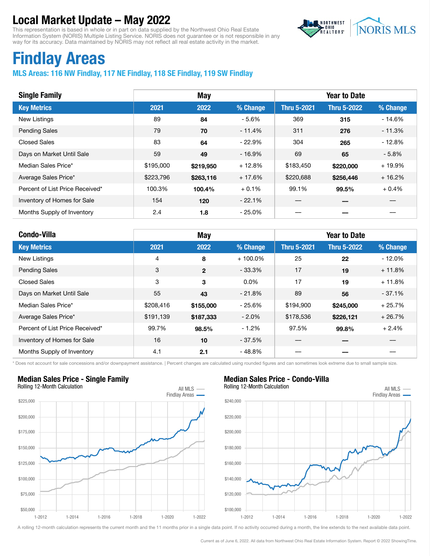This representation is based in whole or in part on data supplied by the Northwest Ohio Real Estate Information System (NORIS) Multiple Listing Service. NORIS does not guarantee or is not responsible in any way for its accuracy. Data maintained by NORIS may not reflect all real estate activity in the market.



# Findlay Areas

#### MLS Areas: 116 NW Findlay, 117 NE Findlay, 118 SE Findlay, 119 SW Findlay

| <b>Single Family</b>            |           | May       |          |                    | <b>Year to Date</b> |          |
|---------------------------------|-----------|-----------|----------|--------------------|---------------------|----------|
| <b>Key Metrics</b>              | 2021      | 2022      | % Change | <b>Thru 5-2021</b> | <b>Thru 5-2022</b>  | % Change |
| New Listings                    | 89        | 84        | - 5.6%   | 369                | 315                 | $-14.6%$ |
| <b>Pending Sales</b>            | 79        | 70        | $-11.4%$ | 311                | 276                 | $-11.3%$ |
| <b>Closed Sales</b>             | 83        | 64        | $-22.9%$ | 304                | 265                 | $-12.8%$ |
| Days on Market Until Sale       | 59        | 49        | $-16.9%$ | 69                 | 65                  | $-5.8\%$ |
| Median Sales Price*             | \$195,000 | \$219,950 | $+12.8%$ | \$183,450          | \$220,000           | $+19.9%$ |
| Average Sales Price*            | \$223,796 | \$263,116 | $+17.6%$ | \$220,688          | \$256,446           | $+16.2%$ |
| Percent of List Price Received* | 100.3%    | 100.4%    | $+0.1%$  | 99.1%              | 99.5%               | $+0.4%$  |
| Inventory of Homes for Sale     | 154       | 120       | $-22.1%$ |                    |                     |          |
| Months Supply of Inventory      | 2.4       | 1.8       | $-25.0%$ |                    |                     |          |

| <b>Condo-Villa</b>              |                | <b>May</b>   |            |                    | <b>Year to Date</b> |          |
|---------------------------------|----------------|--------------|------------|--------------------|---------------------|----------|
| <b>Key Metrics</b>              | 2021           | 2022         | % Change   | <b>Thru 5-2021</b> | <b>Thru 5-2022</b>  | % Change |
| New Listings                    | $\overline{4}$ | 8            | $+100.0\%$ | 25                 | 22                  | $-12.0%$ |
| <b>Pending Sales</b>            | 3              | $\mathbf{2}$ | $-33.3%$   | 17                 | 19                  | $+11.8%$ |
| <b>Closed Sales</b>             | 3              | 3            | $0.0\%$    | 17                 | 19                  | $+11.8%$ |
| Days on Market Until Sale       | 55             | 43           | $-21.8%$   | 89                 | 56                  | $-37.1%$ |
| Median Sales Price*             | \$208,416      | \$155,000    | $-25.6%$   | \$194,900          | \$245,000           | $+25.7%$ |
| Average Sales Price*            | \$191,139      | \$187,333    | $-2.0\%$   | \$178,536          | \$226,121           | $+26.7%$ |
| Percent of List Price Received* | 99.7%          | 98.5%        | $-1.2\%$   | 97.5%              | 99.8%               | $+2.4%$  |
| Inventory of Homes for Sale     | 16             | 10           | $-37.5%$   |                    |                     |          |
| Months Supply of Inventory      | 4.1            | 2.1          | $-48.8%$   |                    |                     |          |

\* Does not account for sale concessions and/or downpayment assistance. | Percent changes are calculated using rounded figures and can sometimes look extreme due to small sample size.



### Median Sales Price - Condo-Villa



A rolling 12-month calculation represents the current month and the 11 months prior in a single data point. If no activity occurred during a month, the line extends to the next available data point.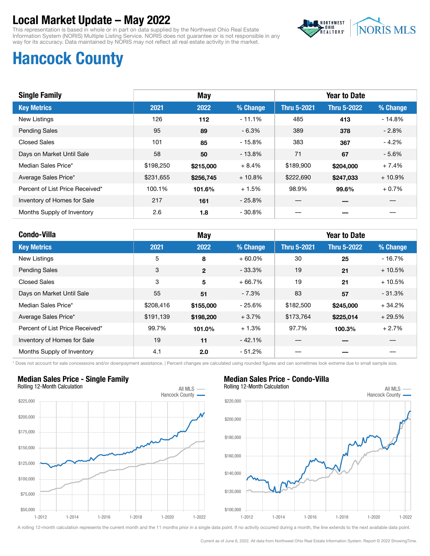This representation is based in whole or in part on data supplied by the Northwest Ohio Real Estate Information System (NORIS) Multiple Listing Service. NORIS does not guarantee or is not responsible in any way for its accuracy. Data maintained by NORIS may not reflect all real estate activity in the market.



## Hancock County

| <b>Single Family</b>            | <b>May</b> |           |           | <b>Year to Date</b> |                    |          |  |
|---------------------------------|------------|-----------|-----------|---------------------|--------------------|----------|--|
| <b>Key Metrics</b>              | 2021       | 2022      | % Change  | <b>Thru 5-2021</b>  | <b>Thru 5-2022</b> | % Change |  |
| <b>New Listings</b>             | 126        | 112       | $-11.1%$  | 485                 | 413                | $-14.8%$ |  |
| <b>Pending Sales</b>            | 95         | 89        | $-6.3\%$  | 389                 | 378                | $-2.8%$  |  |
| <b>Closed Sales</b>             | 101        | 85        | $-15.8%$  | 383                 | 367                | $-4.2%$  |  |
| Days on Market Until Sale       | 58         | 50        | $-13.8%$  | 71                  | 67                 | $-5.6%$  |  |
| Median Sales Price*             | \$198,250  | \$215,000 | $+8.4%$   | \$189,900           | \$204,000          | $+7.4%$  |  |
| Average Sales Price*            | \$231,655  | \$256,745 | $+10.8\%$ | \$222,690           | \$247,033          | $+10.9%$ |  |
| Percent of List Price Received* | 100.1%     | 101.6%    | $+1.5%$   | 98.9%               | 99.6%              | $+0.7%$  |  |
| Inventory of Homes for Sale     | 217        | 161       | $-25.8%$  |                     |                    |          |  |
| Months Supply of Inventory      | 2.6        | 1.8       | $-30.8%$  |                     |                    |          |  |

| <b>Condo-Villa</b>              |           | <b>May</b>   |           |                    | <b>Year to Date</b> |          |
|---------------------------------|-----------|--------------|-----------|--------------------|---------------------|----------|
| <b>Key Metrics</b>              | 2021      | 2022         | % Change  | <b>Thru 5-2021</b> | <b>Thru 5-2022</b>  | % Change |
| New Listings                    | 5         | 8            | $+60.0\%$ | 30                 | 25                  | $-16.7%$ |
| <b>Pending Sales</b>            | 3         | $\mathbf{2}$ | $-33.3\%$ | 19                 | 21                  | $+10.5%$ |
| <b>Closed Sales</b>             | 3         | 5            | $+66.7%$  | 19                 | 21                  | $+10.5%$ |
| Days on Market Until Sale       | 55        | 51           | - 7.3%    | 83                 | 57                  | $-31.3%$ |
| Median Sales Price*             | \$208,416 | \$155,000    | $-25.6%$  | \$182,500          | \$245,000           | $+34.2%$ |
| Average Sales Price*            | \$191,139 | \$198,200    | $+3.7%$   | \$173,764          | \$225,014           | $+29.5%$ |
| Percent of List Price Received* | 99.7%     | 101.0%       | $+1.3%$   | 97.7%              | 100.3%              | $+2.7%$  |
| Inventory of Homes for Sale     | 19        | 11           | $-42.1%$  |                    |                     |          |
| Months Supply of Inventory      | 4.1       | 2.0          | - 51.2%   |                    |                     |          |

\* Does not account for sale concessions and/or downpayment assistance. | Percent changes are calculated using rounded figures and can sometimes look extreme due to small sample size.



#### Median Sales Price - Single Family





A rolling 12-month calculation represents the current month and the 11 months prior in a single data point. If no activity occurred during a month, the line extends to the next available data point.